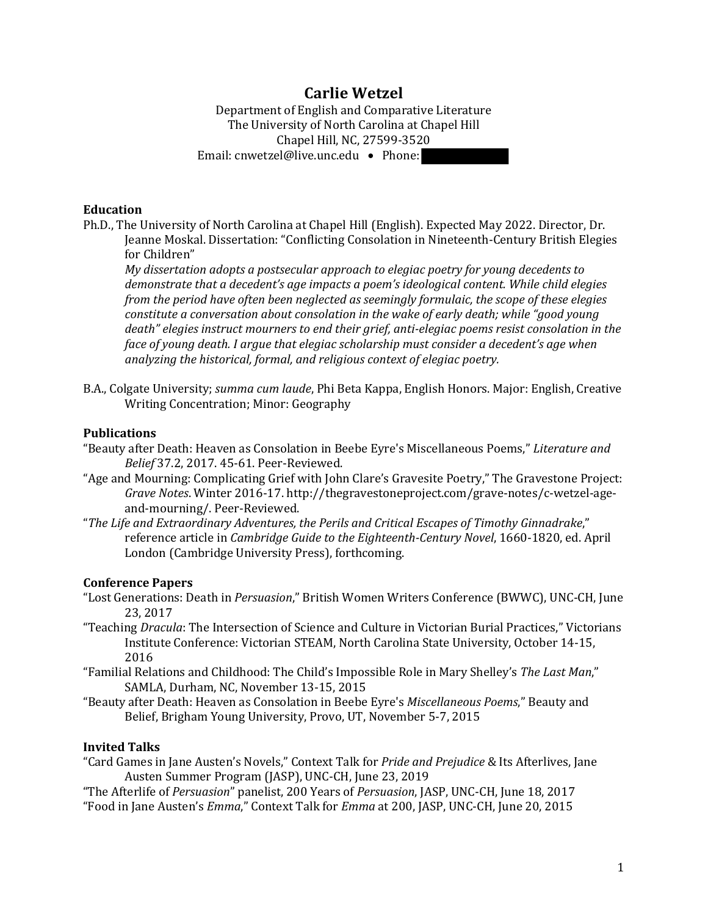# **Carlie Wetzel**

Department of English and Comparative Literature The University of North Carolina at Chapel Hill Chapel Hill, NC, 27599-3520 Email: cnwetzel@live.unc.edu • Phone:

### **Education**

Ph.D., The University of North Carolina at Chapel Hill (English). Expected May 2022. Director, Dr. Jeanne Moskal. Dissertation: "Conflicting Consolation in Nineteenth-Century British Elegies for Children"

*My* dissertation adopts a postsecular approach to elegiac poetry for young decedents to demonstrate that a decedent's age impacts a poem's ideological content. While child elegies *from the period have often been neglected as seemingly formulaic, the scope of these elegies constitute a conversation about consolation in the wake of early death; while "good young* death" elegies instruct mourners to end their grief, anti-elegiac poems resist consolation in the *face of young death. I argue that elegiac scholarship must consider a decedent's age when analyzing the historical, formal, and religious context of elegiac poetry.* 

B.A., Colgate University; *summa cum laude*, Phi Beta Kappa, English Honors. Major: English, Creative Writing Concentration; Minor: Geography

#### **Publications**

- "Beauty after Death: Heaven as Consolation in Beebe Eyre's Miscellaneous Poems," *Literature and Belief* 37.2, 2017. 45-61. Peer-Reviewed.
- "Age and Mourning: Complicating Grief with John Clare's Gravesite Poetry," The Gravestone Project: Grave Notes. Winter 2016-17. http://thegravestoneproject.com/grave-notes/c-wetzel-ageand-mourning/. Peer-Reviewed.
- "The Life and Extraordinary Adventures, the Perils and Critical Escapes of Timothy Ginnadrake," reference article in *Cambridge Guide to the Eighteenth-Century Novel*, 1660-1820, ed. April London (Cambridge University Press), forthcoming.

#### **Conference Papers**

- "Lost Generations: Death in *Persuasion*," British Women Writers Conference (BWWC), UNC-CH, June 23, 2017
- "Teaching *Dracula*: The Intersection of Science and Culture in Victorian Burial Practices," Victorians Institute Conference: Victorian STEAM, North Carolina State University, October 14-15, 2016
- "Familial Relations and Childhood: The Child's Impossible Role in Mary Shelley's The Last Man," SAMLA, Durham, NC, November 13-15, 2015
- "Beauty after Death: Heaven as Consolation in Beebe Eyre's *Miscellaneous Poems*," Beauty and Belief, Brigham Young University, Provo, UT, November 5-7, 2015

### **Invited Talks**

"Card Games in Jane Austen's Novels," Context Talk for *Pride and Prejudice* & Its Afterlives, Jane Austen Summer Program (JASP), UNC-CH, June 23, 2019

"The Afterlife of *Persuasion*" panelist, 200 Years of *Persuasion*, JASP, UNC-CH, June 18, 2017 "Food in Jane Austen's *Emma*," Context Talk for *Emma* at 200, JASP, UNC-CH, June 20, 2015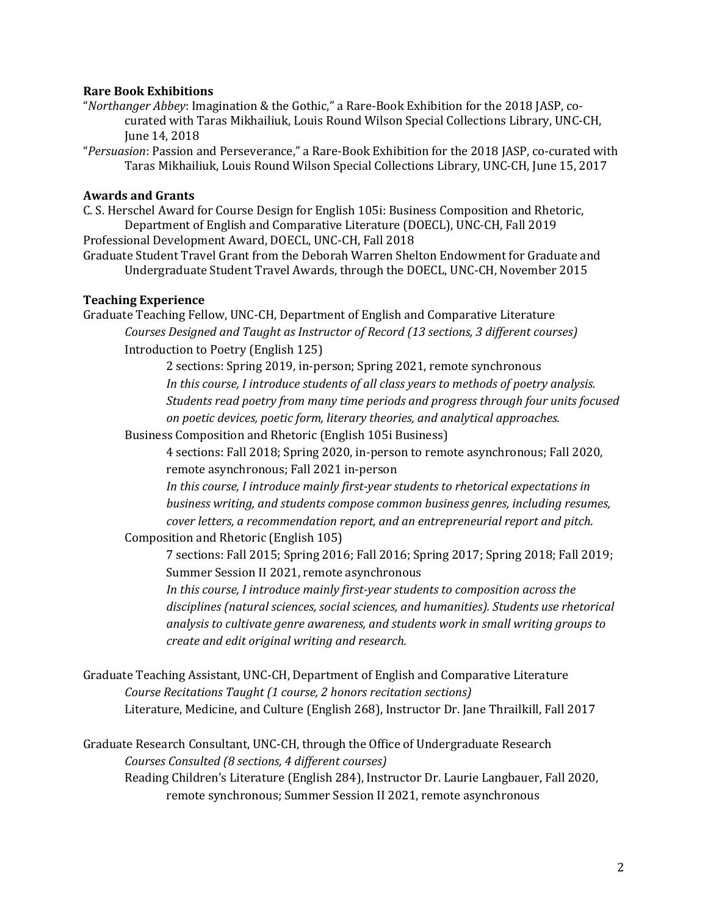### **Rare Book Exhibitions**

- "*Northanger Abbey*: Imagination & the Gothic," a Rare-Book Exhibition for the 2018 JASP, cocurated with Taras Mikhailiuk, Louis Round Wilson Special Collections Library, UNC-CH, June 14, 2018
- "Persuasion: Passion and Perseverance," a Rare-Book Exhibition for the 2018 JASP, co-curated with Taras Mikhailiuk, Louis Round Wilson Special Collections Library, UNC-CH, June 15, 2017

### **Awards and Grants**

C. S. Herschel Award for Course Design for English 105i: Business Composition and Rhetoric, Department of English and Comparative Literature (DOECL), UNC-CH, Fall 2019 Professional Development Award, DOECL, UNC-CH, Fall 2018

Graduate Student Travel Grant from the Deborah Warren Shelton Endowment for Graduate and Undergraduate Student Travel Awards, through the DOECL, UNC-CH, November 2015

### **Teaching Experience**

Graduate Teaching Fellow, UNC-CH, Department of English and Comparative Literature *Courses Designed and Taught as Instructor of Record (13 sections, 3 different courses)* Introduction to Poetry (English 125)

> 2 sections: Spring 2019, in-person; Spring 2021, remote synchronous In this course, I introduce students of all class years to methods of poetry analysis. Students read poetry from many time periods and progress through four units focused *on poetic devices, poetic form, literary theories, and analytical approaches.*

Business Composition and Rhetoric (English 105i Business)

4 sections: Fall 2018; Spring 2020, in-person to remote asynchronous; Fall 2020, remote asynchronous; Fall 2021 in-person

In this course, I introduce mainly first-year students to rhetorical expectations in business writing, and students compose common business genres, including resumes, *cover letters, a recommendation report, and an entrepreneurial report and pitch.* 

Composition and Rhetoric (English 105)

7 sections: Fall 2015; Spring 2016; Fall 2016; Spring 2017; Spring 2018; Fall 2019; Summer Session II 2021, remote asynchronous

In this course, I introduce mainly first-year students to composition across the disciplines (natural sciences, social sciences, and humanities). Students use rhetorical analysis to cultivate genre awareness, and students work in small writing groups to *create and edit original writing and research.* 

```
Graduate Teaching Assistant, UNC-CH, Department of English and Comparative Literature
Course Recitations Taught (1 course, 2 honors recitation sections)
Literature, Medicine, and Culture (English 268), Instructor Dr. Jane Thrailkill, Fall 2017
```
Graduate Research Consultant, UNC-CH, through the Office of Undergraduate Research *Courses Consulted (8 sections, 4 different courses)* Reading Children's Literature (English 284), Instructor Dr. Laurie Langbauer, Fall 2020, remote synchronous; Summer Session II 2021, remote asynchronous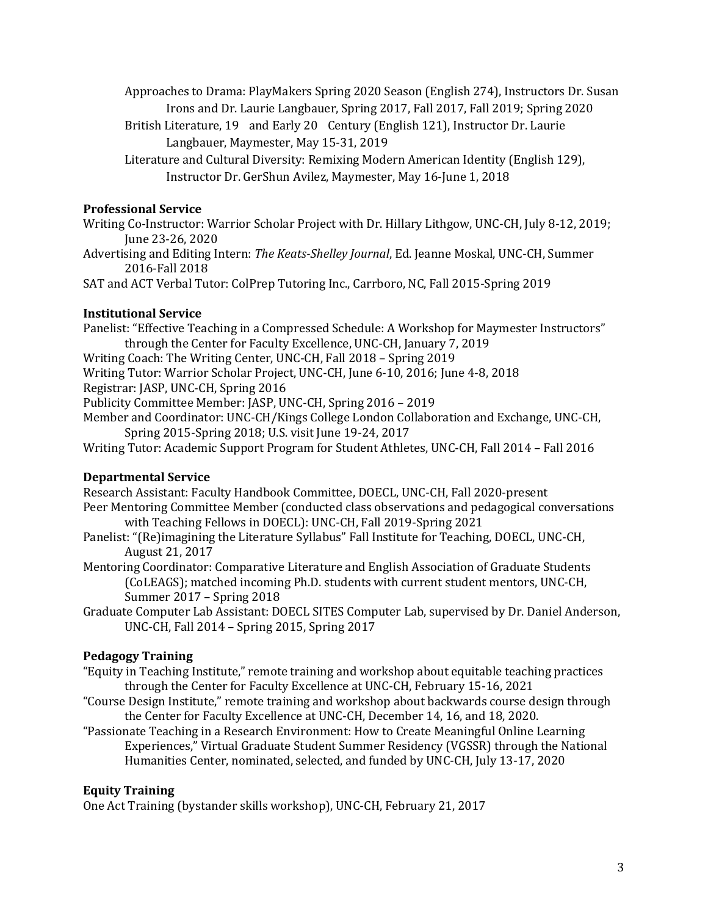Approaches to Drama: PlayMakers Spring 2020 Season (English 274), Instructors Dr. Susan Irons and Dr. Laurie Langbauer, Spring 2017, Fall 2017, Fall 2019; Spring 2020

- British Literature, 19 and Early 20 Century (English 121), Instructor Dr. Laurie Langbauer, Maymester, May 15-31, 2019
- Literature and Cultural Diversity: Remixing Modern American Identity (English 129), Instructor Dr. GerShun Avilez, Maymester, May 16-June 1, 2018

# **Professional Service**

- Writing Co-Instructor: Warrior Scholar Project with Dr. Hillary Lithgow, UNC-CH, July 8-12, 2019; June 23-26, 2020
- Advertising and Editing Intern: *The Keats-Shelley Journal*, Ed. Jeanne Moskal, UNC-CH, Summer 2016-Fall 2018

SAT and ACT Verbal Tutor: ColPrep Tutoring Inc., Carrboro, NC, Fall 2015-Spring 2019

# **Institutional Service**

Panelist: "Effective Teaching in a Compressed Schedule: A Workshop for Maymester Instructors" through the Center for Faculty Excellence, UNC-CH, January 7, 2019 Writing Coach: The Writing Center, UNC-CH, Fall 2018 – Spring 2019 Writing Tutor: Warrior Scholar Project, UNC-CH, June 6-10, 2016; June 4-8, 2018 Registrar: JASP, UNC-CH, Spring 2016

Publicity Committee Member: JASP, UNC-CH, Spring 2016 - 2019

Member and Coordinator: UNC-CH/Kings College London Collaboration and Exchange, UNC-CH, Spring 2015-Spring 2018; U.S. visit June 19-24, 2017

Writing Tutor: Academic Support Program for Student Athletes, UNC-CH, Fall 2014 - Fall 2016

# **Departmental Service**

Research Assistant: Faculty Handbook Committee, DOECL, UNC-CH, Fall 2020-present Peer Mentoring Committee Member (conducted class observations and pedagogical conversations with Teaching Fellows in DOECL): UNC-CH, Fall 2019-Spring 2021

Panelist: "(Re)imagining the Literature Syllabus" Fall Institute for Teaching, DOECL, UNC-CH, August 21, 2017

Mentoring Coordinator: Comparative Literature and English Association of Graduate Students (CoLEAGS); matched incoming Ph.D. students with current student mentors, UNC-CH, Summer 2017 - Spring 2018

Graduate Computer Lab Assistant: DOECL SITES Computer Lab, supervised by Dr. Daniel Anderson, UNC-CH, Fall 2014 - Spring 2015, Spring 2017

# **Pedagogy Training**

- "Equity in Teaching Institute," remote training and workshop about equitable teaching practices through the Center for Faculty Excellence at UNC-CH, February 15-16, 2021
- "Course Design Institute," remote training and workshop about backwards course design through the Center for Faculty Excellence at UNC-CH, December 14, 16, and 18, 2020.

"Passionate Teaching in a Research Environment: How to Create Meaningful Online Learning Experiences," Virtual Graduate Student Summer Residency (VGSSR) through the National Humanities Center, nominated, selected, and funded by UNC-CH, July 13-17, 2020

# **Equity Training**

One Act Training (bystander skills workshop), UNC-CH, February 21, 2017